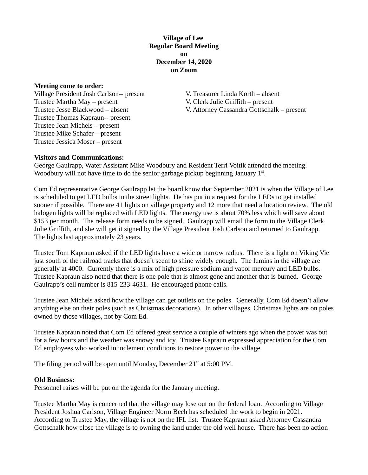# **Village of Lee Regular Board Meeting on December 14, 2020 on Zoom**

#### **Meeting come to order:**

Village President Josh Carlson-- present V. Treasurer Linda Korth – absent Trustee Martha May – present V. Clerk Julie Griffith – present Trustee Thomas Kapraun-- present Trustee Jean Michels – present Trustee Mike Schafer—present Trustee Jessica Moser – present

Trustee Jesse Blackwood – absent V. Attorney Cassandra Gottschalk – present

## **Visitors and Communications:**

George Gaulrapp, Water Assistant Mike Woodbury and Resident Terri Voitik attended the meeting. Woodbury will not have time to do the senior garbage pickup beginning January  $1<sup>st</sup>$ .

Com Ed representative George Gaulrapp let the board know that September 2021 is when the Village of Lee is scheduled to get LED bulbs in the street lights. He has put in a request for the LEDs to get installed sooner if possible. There are 41 lights on village property and 12 more that need a location review. The old halogen lights will be replaced with LED lights. The energy use is about 70% less which will save about \$153 per month. The release form needs to be signed. Gaulrapp will email the form to the Village Clerk Julie Griffith, and she will get it signed by the Village President Josh Carlson and returned to Gaulrapp. The lights last approximately 23 years.

Trustee Tom Kapraun asked if the LED lights have a wide or narrow radius. There is a light on Viking Vie just south of the railroad tracks that doesn't seem to shine widely enough. The lumins in the village are generally at 4000. Currently there is a mix of high pressure sodium and vapor mercury and LED bulbs. Trustee Kapraun also noted that there is one pole that is almost gone and another that is burned. George Gaulrapp's cell number is 815-233-4631. He encouraged phone calls.

Trustee Jean Michels asked how the village can get outlets on the poles. Generally, Com Ed doesn't allow anything else on their poles (such as Christmas decorations). In other villages, Christmas lights are on poles owned by those villages, not by Com Ed.

Trustee Kapraun noted that Com Ed offered great service a couple of winters ago when the power was out for a few hours and the weather was snowy and icy. Trustee Kapraun expressed appreciation for the Com Ed employees who worked in inclement conditions to restore power to the village.

The filing period will be open until Monday, December  $21<sup>st</sup>$  at 5:00 PM.

### **Old Business:**

Personnel raises will be put on the agenda for the January meeting.

Trustee Martha May is concerned that the village may lose out on the federal loan. According to Village President Joshua Carlson, Village Engineer Norm Beeh has scheduled the work to begin in 2021. According to Trustee May, the village is not on the IFL list. Trustee Kapraun asked Attorney Cassandra Gottschalk how close the village is to owning the land under the old well house. There has been no action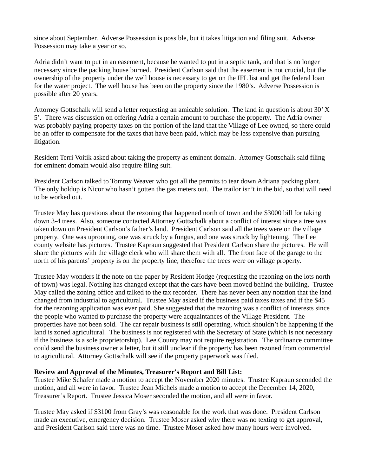since about September. Adverse Possession is possible, but it takes litigation and filing suit. Adverse Possession may take a year or so.

Adria didn't want to put in an easement, because he wanted to put in a septic tank, and that is no longer necessary since the packing house burned. President Carlson said that the easement is not crucial, but the ownership of the property under the well house is necessary to get on the IFL list and get the federal loan for the water project. The well house has been on the property since the 1980's. Adverse Possession is possible after 20 years.

Attorney Gottschalk will send a letter requesting an amicable solution. The land in question is about 30' X 5'. There was discussion on offering Adria a certain amount to purchase the property. The Adria owner was probably paying property taxes on the portion of the land that the Village of Lee owned, so there could be an offer to compensate for the taxes that have been paid, which may be less expensive than pursuing litigation.

Resident Terri Voitik asked about taking the property as eminent domain. Attorney Gottschalk said filing for eminent domain would also require filing suit.

President Carlson talked to Tommy Weaver who got all the permits to tear down Adriana packing plant. The only holdup is Nicor who hasn't gotten the gas meters out. The trailor isn't in the bid, so that will need to be worked out.

Trustee May has questions about the rezoning that happened north of town and the \$3000 bill for taking down 3-4 trees. Also, someone contacted Attorney Gottschalk about a conflict of interest since a tree was taken down on President Carlson's father's land. President Carlson said all the trees were on the village property. One was uprooting, one was struck by a fungus, and one was struck by lightening. The Lee county website has pictures. Trustee Kapraun suggested that President Carlson share the pictures. He will share the pictures with the village clerk who will share them with all. The front face of the garage to the north of his parents' property is on the property line; therefore the trees were on village property.

Trustee May wonders if the note on the paper by Resident Hodge (requesting the rezoning on the lots north of town) was legal. Nothing has changed except that the cars have been moved behind the building. Trustee May called the zoning office and talked to the tax recorder. There has never been any notation that the land changed from industrial to agricultural. Trustee May asked if the business paid taxes taxes and if the \$45 for the rezoning application was ever paid. She suggested that the rezoning was a conflict of interests since the people who wanted to purchase the property were acquaintances of the Village President. The properties have not been sold. The car repair business is still operating, which shouldn't be happening if the land is zoned agricultural. The business is not registered with the Secretary of State (which is not necessary if the business is a sole proprietorship). Lee County may not require registration. The ordinance committee could send the business owner a letter, but it still unclear if the property has been rezoned from commercial to agricultural. Attorney Gottschalk will see if the property paperwork was filed.

### **Review and Approval of the Minutes, Treasurer's Report and Bill List:**

Trustee Mike Schafer made a motion to accept the November 2020 minutes. Trustee Kapraun seconded the motion, and all were in favor. Trustee Jean Michels made a motion to accept the December 14, 2020, Treasurer's Report. Trustee Jessica Moser seconded the motion, and all were in favor.

Trustee May asked if \$3100 from Gray's was reasonable for the work that was done. President Carlson made an executive, emergency decision. Trustee Moser asked why there was no texting to get approval, and President Carlson said there was no time. Trustee Moser asked how many hours were involved.